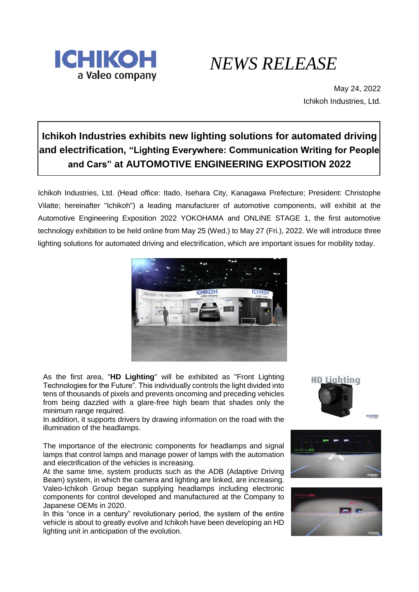

## *NEWS RELEASE*

May 24, 2022 Ichikoh Industries, Ltd.

## **Ichikoh Industries exhibits new lighting solutions for automated driving and electrification, "Lighting Everywhere: Communication Writing for People and Cars" at AUTOMOTIVE ENGINEERING EXPOSITION 2022**

Ichikoh Industries, Ltd. (Head office: Itado, Isehara City, Kanagawa Prefecture; President: Christophe Vilatte; hereinafter "Ichikoh") a leading manufacturer of automotive components, will exhibit at the Automotive Engineering Exposition 2022 YOKOHAMA and ONLINE STAGE 1, the first automotive technology exhibition to be held online from May 25 (Wed.) to May 27 (Fri.), 2022. We will introduce three lighting solutions for automated driving and electrification, which are important issues for mobility today.



As the first area, "**HD Lighting**" will be exhibited as "Front Lighting Technologies for the Future". This individually controls the light divided into tens of thousands of pixels and prevents oncoming and preceding vehicles from being dazzled with a glare-free high beam that shades only the minimum range required.

In addition, it supports drivers by drawing information on the road with the illumination of the headlamps.

The importance of the electronic components for headlamps and signal lamps that control lamps and manage power of lamps with the automation and electrification of the vehicles is increasing.

At the same time, system products such as the ADB (Adaptive Driving Beam) system, in which the camera and lighting are linked, are increasing. Valeo-Ichikoh Group began supplying headlamps including electronic components for control developed and manufactured at the Company to Japanese OEMs in 2020.

In this "once in a century" revolutionary period, the system of the entire vehicle is about to greatly evolve and Ichikoh have been developing an HD lighting unit in anticipation of the evolution.





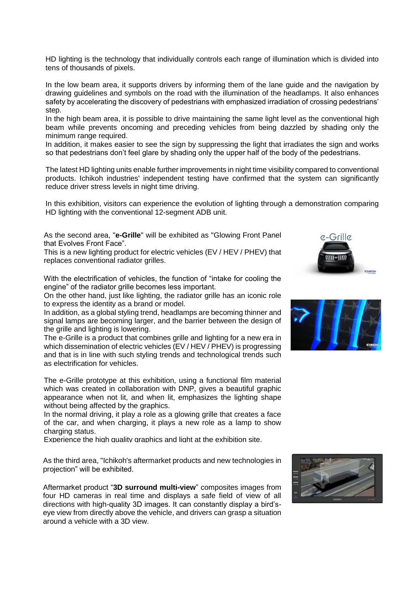HD lighting is the technology that individually controls each range of illumination which is divided into tens of thousands of pixels.

In the low beam area, it supports drivers by informing them of the lane guide and the navigation by drawing guidelines and symbols on the road with the illumination of the headlamps. It also enhances safety by accelerating the discovery of pedestrians with emphasized irradiation of crossing pedestrians' step.

In the high beam area, it is possible to drive maintaining the same light level as the conventional high beam while prevents oncoming and preceding vehicles from being dazzled by shading only the minimum range required.

In addition, it makes easier to see the sign by suppressing the light that irradiates the sign and works so that pedestrians don't feel glare by shading only the upper half of the body of the pedestrians.

The latest HD lighting units enable further improvements in night time visibility compared to conventional products. Ichikoh industries' independent testing have confirmed that the system can significantly reduce driver stress levels in night time driving.

In this exhibition, visitors can experience the evolution of lighting through a demonstration comparing HD lighting with the conventional 12-segment ADB unit.

As the second area, "**e-Grille**" will be exhibited as "Glowing Front Panel that Evolves Front Face".

This is a new lighting product for electric vehicles (EV / HEV / PHEV) that replaces conventional radiator grilles.

With the electrification of vehicles, the function of "intake for cooling the engine" of the radiator grille becomes less important.

On the other hand, just like lighting, the radiator grille has an iconic role to express the identity as a brand or model.

In addition, as a global styling trend, headlamps are becoming thinner and signal lamps are becoming larger, and the barrier between the design of the grille and lighting is lowering.

The e-Grille is a product that combines grille and lighting for a new era in which dissemination of electric vehicles (EV / HEV / PHEV) is progressing and that is in line with such styling trends and technological trends such as electrification for vehicles.

The e-Grille prototype at this exhibition, using a functional film material which was created in collaboration with DNP, gives a beautiful graphic appearance when not lit, and when lit, emphasizes the lighting shape without being affected by the graphics.

In the normal driving, it play a role as a glowing grille that creates a face of the car, and when charging, it plays a new role as a lamp to show charging status.

Experience the high quality graphics and light at the exhibition site.

As the third area, "Ichikoh's aftermarket products and new technologies in projection" will be exhibited.

Aftermarket product "**3D surround multi-view**" composites images from four HD cameras in real time and displays a safe field of view of all directions with high-quality 3D images. It can constantly display a bird'seye view from directly above the vehicle, and drivers can grasp a situation around a vehicle with a 3D view.





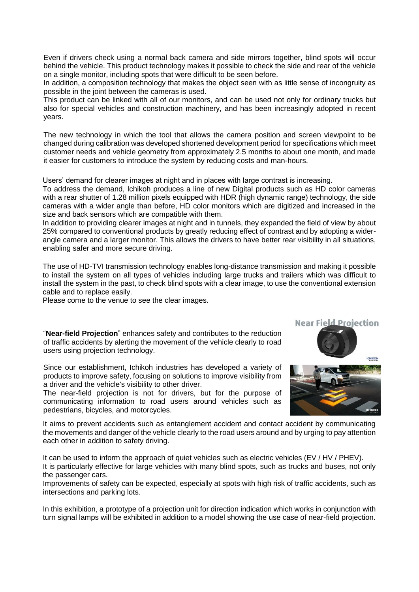Even if drivers check using a normal back camera and side mirrors together, blind spots will occur behind the vehicle. This product technology makes it possible to check the side and rear of the vehicle on a single monitor, including spots that were difficult to be seen before.

In addition, a composition technology that makes the object seen with as little sense of incongruity as possible in the joint between the cameras is used.

This product can be linked with all of our monitors, and can be used not only for ordinary trucks but also for special vehicles and construction machinery, and has been increasingly adopted in recent years.

The new technology in which the tool that allows the camera position and screen viewpoint to be changed during calibration was developed shortened development period for specifications which meet customer needs and vehicle geometry from approximately 2.5 months to about one month, and made it easier for customers to introduce the system by reducing costs and man-hours.

Users' demand for clearer images at night and in places with large contrast is increasing.

To address the demand, Ichikoh produces a line of new Digital products such as HD color cameras with a rear shutter of 1.28 million pixels equipped with HDR (high dynamic range) technology, the side cameras with a wider angle than before, HD color monitors which are digitized and increased in the size and back sensors which are compatible with them.

In addition to providing clearer images at night and in tunnels, they expanded the field of view by about 25% compared to conventional products by greatly reducing effect of contrast and by adopting a widerangle camera and a larger monitor. This allows the drivers to have better rear visibility in all situations, enabling safer and more secure driving.

The use of HD-TVI transmission technology enables long-distance transmission and making it possible to install the system on all types of vehicles including large trucks and trailers which was difficult to install the system in the past, to check blind spots with a clear image, to use the conventional extension cable and to replace easily.

Please come to the venue to see the clear images.

"**Near-field Projection**" enhances safety and contributes to the reduction of traffic accidents by alerting the movement of the vehicle clearly to road users using projection technology.

Since our establishment, Ichikoh industries has developed a variety of products to improve safety, focusing on solutions to improve visibility from a driver and the vehicle's visibility to other driver.

The near-field projection is not for drivers, but for the purpose of communicating information to road users around vehicles such as pedestrians, bicycles, and motorcycles.







It aims to prevent accidents such as entanglement accident and contact accident by communicating the movements and danger of the vehicle clearly to the road users around and by urging to pay attention each other in addition to safety driving.

It can be used to inform the approach of quiet vehicles such as electric vehicles (EV / HV / PHEV). It is particularly effective for large vehicles with many blind spots, such as trucks and buses, not only the passenger cars.

Improvements of safety can be expected, especially at spots with high risk of traffic accidents, such as intersections and parking lots.

In this exhibition, a prototype of a projection unit for direction indication which works in conjunction with turn signal lamps will be exhibited in addition to a model showing the use case of near-field projection.